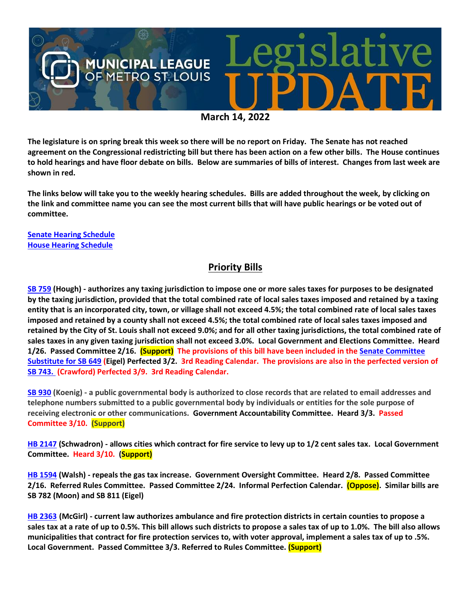

**The legislature is on spring break this week so there will be no report on Friday. The Senate has not reached agreement on the Congressional redistricting bill but there has been action on a few other bills. The House continues to hold hearings and have floor debate on bills. Below are summaries of bills of interest. Changes from last week are shown in red.**

**The links below will take you to the weekly hearing schedules. Bills are added throughout the week, by clicking on the link and committee name you can see the most current bills that will have public hearings or be voted out of committee.**

**[Senate Hearing Schedule](https://www.senate.mo.gov/hearingsschedule/hrings.htm) [House Hearing Schedule](https://www.house.mo.gov/AllHearings.aspx?sdid=01182022)** 

#### **Priority Bills**

**[SB 759](https://www.senate.mo.gov/22info/BTS_Web/Bill.aspx?SessionType=R&BillID=71259645) (Hough) - authorizes any taxing jurisdiction to impose one or more sales taxes for purposes to be designated by the taxing jurisdiction, provided that the total combined rate of local sales taxes imposed and retained by a taxing entity that is an incorporated city, town, or village shall not exceed 4.5%; the total combined rate of local sales taxes imposed and retained by a county shall not exceed 4.5%; the total combined rate of local sales taxes imposed and retained by the City of St. Louis shall not exceed 9.0%; and for all other taxing jurisdictions, the total combined rate of sales taxes in any given taxing jurisdiction shall not exceed 3.0%. Local Government and Elections Committee. Heard 1/26. Passed Committee 2/16. (Support) The provisions of this bill have been included in th[e Senate Committee](https://www.senate.mo.gov/22info/BTS_Web/Bill.aspx?SessionType=R&BillID=71259737)  [Substitute for SB 649](https://www.senate.mo.gov/22info/BTS_Web/Bill.aspx?SessionType=R&BillID=71259737) (Eigel) Perfected 3/2. 3rd Reading Calendar. The provisions are also in the perfected version of [SB 743.](https://www.senate.mo.gov/22info/BTS_Web/Bill.aspx?SessionType=R&BillID=71260668) (Crawford) Perfected 3/9. 3rd Reading Calendar.**

**[SB 930](https://www.senate.mo.gov/22info/BTS_Web/Bill.aspx?SessionType=R&BillID=71259916) (Koenig) - a public governmental body is authorized to close records that are related to email addresses and telephone numbers submitted to a public governmental body by individuals or entities for the sole purpose of receiving electronic or other communications. Government Accountability Committee. Heard 3/3. Passed Committee 3/10. (Support)**

**[HB 2147](https://house.mo.gov/Bill.aspx?bill=HB2147&year=2022&code=R) (Schwadron) - allows cities which contract for fire service to levy up to 1/2 cent sales tax. Local Government Committee. Heard 3/10. (Support)**

**[HB 1594](https://house.mo.gov/Bill.aspx?bill=HB1594&year=2022&code=R) (Walsh) - repeals the gas tax increase. Government Oversight Committee. Heard 2/8. Passed Committee 2/16. Referred Rules Committee. Passed Committee 2/24. Informal Perfection Calendar. (Oppose). Similar bills are SB 782 (Moon) and SB 811 (Eigel)**

**[HB 2363](https://www.house.mo.gov/bill.aspx?bill=HB2363&year=2022&code=R) (McGirl) - current law authorizes ambulance and fire protection districts in certain counties to propose a sales tax at a rate of up to 0.5%. This bill allows such districts to propose a sales tax of up to 1.0%. The bill also allows municipalities that contract for fire protection services to, with voter approval, implement a sales tax of up to .5%. Local Government. Passed Committee 3/3. Referred to Rules Committee. (Support)**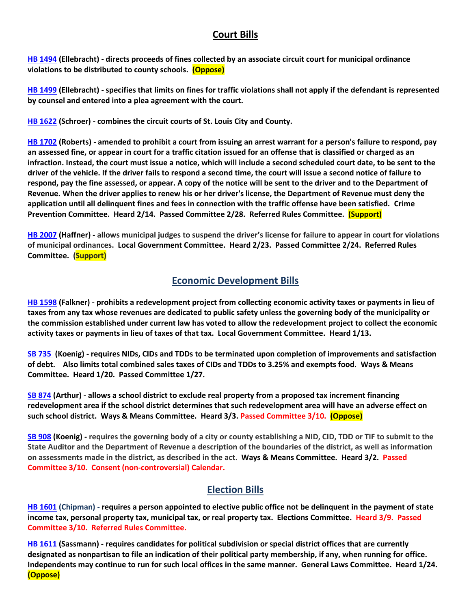#### **Court Bills**

**[HB 1494](https://house.mo.gov/Bill.aspx?bill=HB1494&year=2022&code=R) (Ellebracht) - directs proceeds of fines collected by an associate circuit court for municipal ordinance violations to be distributed to county schools. (Oppose)**

**[HB 1499](https://house.mo.gov/Bill.aspx?bill=HB1499&year=2022&code=R) (Ellebracht) - specifies that limits on fines for traffic violations shall not apply if the defendant is represented by counsel and entered into a plea agreement with the court.**

**[HB 1622](https://house.mo.gov/Bill.aspx?bill=HB1622&year=2022&code=R) (Schroer) - combines the circuit courts of St. Louis City and County.**

**[HB 1702](https://house.mo.gov/Bill.aspx?bill=HB1702&year=2022&code=R) (Roberts) - amended to prohibit a court from issuing an arrest warrant for a person's failure to respond, pay an assessed fine, or appear in court for a traffic citation issued for an offense that is classified or charged as an infraction. Instead, the court must issue a notice, which will include a second scheduled court date, to be sent to the driver of the vehicle. If the driver fails to respond a second time, the court will issue a second notice of failure to respond, pay the fine assessed, or appear. A copy of the notice will be sent to the driver and to the Department of Revenue. When the driver applies to renew his or her driver's license, the Department of Revenue must deny the application until all delinquent fines and fees in connection with the traffic offense have been satisfied. Crime Prevention Committee. Heard 2/14. Passed Committee 2/28. Referred Rules Committee. (Support)** 

**[HB 2007](https://house.mo.gov/Bill.aspx?bill=HB2007&year=2022&code=R) (Haffner) - allows municipal judges to suspend the driver's license for failure to appear in court for violations of municipal ordinances. Local Government Committee. Heard 2/23. Passed Committee 2/24. Referred Rules Committee. (Support)**

#### **Economic Development Bills**

**[HB 1598](https://house.mo.gov/Bill.aspx?bill=HB1598&year=2022&code=R) (Falkner) - prohibits a redevelopment project from collecting economic activity taxes or payments in lieu of taxes from any tax whose revenues are dedicated to public safety unless the governing body of the municipality or the commission established under current law has voted to allow the redevelopment project to collect the economic activity taxes or payments in lieu of taxes of that tax. Local Government Committee. Heard 1/13.**

**[SB 735](https://www.senate.mo.gov/22info/BTS_Web/Bill.aspx?SessionType=R&BillID=71259902%20%20) (Koenig) - requires NIDs, CIDs and TDDs to be terminated upon completion of improvements and satisfaction of debt. Also limits total combined sales taxes of CIDs and TDDs to 3.25% and exempts food. Ways & Means Committee. Heard 1/20. Passed Committee 1/27.**

**[SB 874](https://www.senate.mo.gov/22info/BTS_Web/Bill.aspx?SessionType=R&BillID=71259609) (Arthur) - allows a school district to exclude real property from a proposed tax increment financing redevelopment area if the school district determines that such redevelopment area will have an adverse effect on such school district. Ways & Means Committee. Heard 3/3. Passed Committee 3/10. (Oppose)**

**[SB 908](https://www.senate.mo.gov/22info/BTS_Web/Bill.aspx?SessionType=R&BillID=71259913) (Koenig) - requires the governing body of a city or county establishing a NID, CID, TDD or TIF to submit to the State Auditor and the Department of Revenue a description of the boundaries of the district, as well as information on assessments made in the district, as described in the act. Ways & Means Committee. Heard 3/2. Passed Committee 3/10. Consent (non-controversial) Calendar.**

## **Election Bills**

**[HB 1601](https://house.mo.gov/Bill.aspx?bill=HB1601&year=2022&code=R) (Chipman) - requires a person appointed to elective public office not be delinquent in the payment of state income tax, personal property tax, municipal tax, or real property tax. Elections Committee. Heard 3/9. Passed Committee 3/10. Referred Rules Committee.**

**HB [1611](https://house.mo.gov/Bill.aspx?bill=HB1611&year=2022&code=R) (Sassmann) - requires candidates for political subdivision or special district offices that are currently designated as nonpartisan to file an indication of their political party membership, if any, when running for office. Independents may continue to run for such local offices in the same manner. General Laws Committee. Heard 1/24. (Oppose)**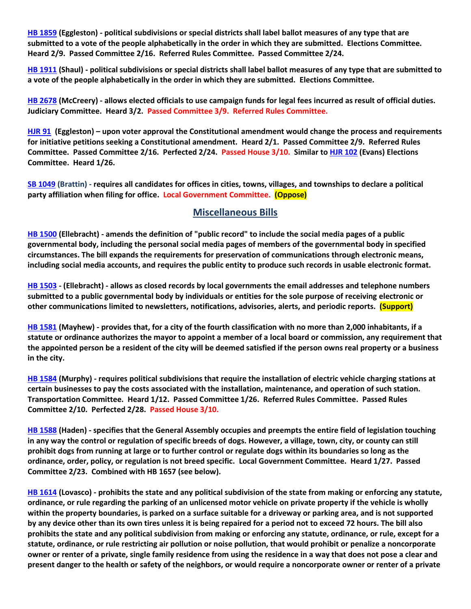**[HB 1859](https://house.mo.gov/Bill.aspx?bill=HB1859&year=2022&code=R) (Eggleston) - political subdivisions or special districts shall label ballot measures of any type that are submitted to a vote of the people alphabetically in the order in which they are submitted. Elections Committee. Heard 2/9. Passed Committee 2/16. Referred Rules Committee. Passed Committee 2/24.**

**[HB 1911](https://house.mo.gov/Bill.aspx?bill=HB1911&year=2022&code=R) (Shaul) - political subdivisions or special districts shall label ballot measures of any type that are submitted to a vote of the people alphabetically in the order in which they are submitted. Elections Committee.**

**[HB 2678](https://www.house.mo.gov/Bill.aspx?bill=HB2678&year=2022&code=R) (McCreery) - allows elected officials to use campaign funds for legal fees incurred as result of official duties. Judiciary Committee. Heard 3/2. Passed Committee 3/9. Referred Rules Committee.**

**[HJR 91](https://www.house.mo.gov/Bill.aspx?bill=HJR91&year=2022&code=R) [\(Eggleston\)](https://www.house.mo.gov/MemberDetails.aspx?year=2022&district=2) – upon voter approval the Constitutional amendment would change the process and requirements for initiative petitions seeking a Constitutional amendment. Heard 2/1. Passed Committee 2/9. Referred Rules Committee. Passed Committee 2/16. Perfected 2/24. Passed House 3/10. Similar t[o HJR 102](https://www.house.mo.gov/Bill.aspx?bill=HJR102&year=2022&code=R) (Evans) Elections Committee. Heard 1/26.**

**[SB 1049](https://www.senate.mo.gov/22info/BTS_Web/Bill.aspx?SessionType=R&BillID=73129349) (Brattin) - requires all candidates for offices in cities, towns, villages, and townships to declare a political party affiliation when filing for office. Local Government Committee. (Oppose)**

#### **Miscellaneous Bills**

**[HB 1500](https://house.mo.gov/Bill.aspx?bill=HB1500&year=2022&code=R) (Ellebracht) - amends the definition of "public record" to include the social media pages of a public governmental body, including the personal social media pages of members of the governmental body in specified circumstances. The bill expands the requirements for preservation of communications through electronic means, including social media accounts, and requires the public entity to produce such records in usable electronic format.**

**[HB 1503](https://house.mo.gov/Bill.aspx?bill=HB1503&year=2022&code=R) - (Ellebracht) - allows as closed records by local governments the email addresses and telephone numbers submitted to a public governmental body by individuals or entities for the sole purpose of receiving electronic or other communications limited to newsletters, notifications, advisories, alerts, and periodic reports. (Support)**

**[HB 1581](https://house.mo.gov/Bill.aspx?bill=HB1581&year=2022&code=R) (Mayhew) - provides that, for a city of the fourth classification with no more than 2,000 inhabitants, if a statute or ordinance authorizes the mayor to appoint a member of a local board or commission, any requirement that the appointed person be a resident of the city will be deemed satisfied if the person owns real property or a business in the city.**

**[HB 1584](https://house.mo.gov/Bill.aspx?bill=HB1584&year=2022&code=R) (Murphy) - requires political subdivisions that require the installation of electric vehicle charging stations at certain businesses to pay the costs associated with the installation, maintenance, and operation of such station. Transportation Committee. Heard 1/12. Passed Committee 1/26. Referred Rules Committee. Passed Rules Committee 2/10. Perfected 2/28. Passed House 3/10.**

**[HB 1588](https://house.mo.gov/Bill.aspx?bill=HB1588&year=2022&code=R) (Haden) - specifies that the General Assembly occupies and preempts the entire field of legislation touching in any way the control or regulation of specific breeds of dogs. However, a village, town, city, or county can still prohibit dogs from running at large or to further control or regulate dogs within its boundaries so long as the ordinance, order, policy, or regulation is not breed specific. Local Government Committee. Heard 1/27. Passed Committee 2/23. Combined with HB 1657 (see below).**

**[HB 1614](https://house.mo.gov/Bill.aspx?bill=HB1614&year=2022&code=R) (Lovasco) - prohibits the state and any political subdivision of the state from making or enforcing any statute, ordinance, or rule regarding the parking of an unlicensed motor vehicle on private property if the vehicle is wholly within the property boundaries, is parked on a surface suitable for a driveway or parking area, and is not supported by any device other than its own tires unless it is being repaired for a period not to exceed 72 hours. The bill also prohibits the state and any political subdivision from making or enforcing any statute, ordinance, or rule, except for a statute, ordinance, or rule restricting air pollution or noise pollution, that would prohibit or penalize a noncorporate owner or renter of a private, single family residence from using the residence in a way that does not pose a clear and present danger to the health or safety of the neighbors, or would require a noncorporate owner or renter of a private**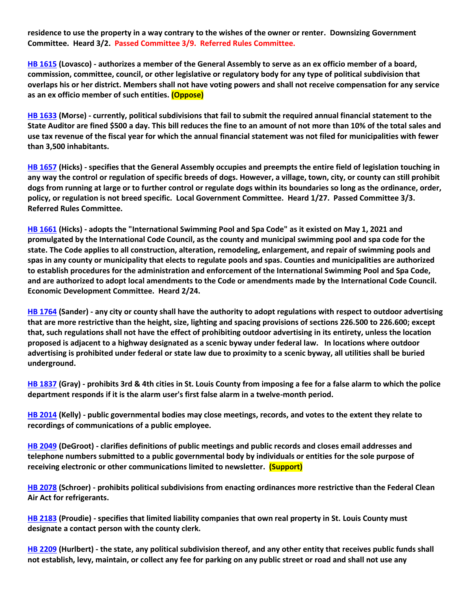**residence to use the property in a way contrary to the wishes of the owner or renter. Downsizing Government Committee. Heard 3/2. Passed Committee 3/9. Referred Rules Committee.**

**[HB 1615](https://house.mo.gov/Bill.aspx?bill=HB1615&year=2022&code=R) (Lovasco) - authorizes a member of the General Assembly to serve as an ex officio member of a board, commission, committee, council, or other legislative or regulatory body for any type of political subdivision that overlaps his or her district. Members shall not have voting powers and shall not receive compensation for any service as an ex officio member of such entities. (Oppose)**

**[HB 1633](https://house.mo.gov/Bill.aspx?bill=HB1633&year=2022&code=R) (Morse) - currently, political subdivisions that fail to submit the required annual financial statement to the State Auditor are fined \$500 a day. This bill reduces the fine to an amount of not more than 10% of the total sales and use tax revenue of the fiscal year for which the annual financial statement was not filed for municipalities with fewer than 3,500 inhabitants.**

**[HB 1657](https://house.mo.gov/Bill.aspx?bill=HB1657&year=2022&code=R) (Hicks) - specifies that the General Assembly occupies and preempts the entire field of legislation touching in any way the control or regulation of specific breeds of dogs. However, a village, town, city, or county can still prohibit dogs from running at large or to further control or regulate dogs within its boundaries so long as the ordinance, order, policy, or regulation is not breed specific. Local Government Committee. Heard 1/27. Passed Committee 3/3. Referred Rules Committee.**

**[HB 1661](https://house.mo.gov/Bill.aspx?bill=HB1661&year=2022&code=R) (Hicks) - adopts the "International Swimming Pool and Spa Code" as it existed on May 1, 2021 and promulgated by the International Code Council, as the county and municipal swimming pool and spa code for the state. The Code applies to all construction, alteration, remodeling, enlargement, and repair of swimming pools and spas in any county or municipality that elects to regulate pools and spas. Counties and municipalities are authorized to establish procedures for the administration and enforcement of the International Swimming Pool and Spa Code, and are authorized to adopt local amendments to the Code or amendments made by the International Code Council. Economic Development Committee. Heard 2/24.**

**[HB 1764](https://house.mo.gov/Bill.aspx?bill=HB1764&year=2022&code=R) (Sander) - any city or county shall have the authority to adopt regulations with respect to outdoor advertising that are more restrictive than the height, size, lighting and spacing provisions of sections 226.500 to 226.600; except that, such regulations shall not have the effect of prohibiting outdoor advertising in its entirety, unless the location proposed is adjacent to a highway designated as a scenic byway under federal law. In locations where outdoor advertising is prohibited under federal or state law due to proximity to a scenic byway, all utilities shall be buried underground.**

**[HB 1837](https://house.mo.gov/Bill.aspx?bill=HB1837&year=2022&code=R) (Gray) - prohibits 3rd & 4th cities in St. Louis County from imposing a fee for a false alarm to which the police department responds if it is the alarm user's first false alarm in a twelve-month period.**

**[HB 2014](https://house.mo.gov/Bill.aspx?bill=HB2014&year=2022&code=R) (Kelly) - public governmental bodies may close meetings, records, and votes to the extent they relate to recordings of communications of a public employee.**

**[HB 2049](https://house.mo.gov/Bill.aspx?bill=HB2049&year=2022&code=R) (DeGroot) - clarifies definitions of public meetings and public records and closes email addresses and telephone numbers submitted to a public governmental body by individuals or entities for the sole purpose of receiving electronic or other communications limited to newsletter. (Support)**

**[HB 2078](https://www.house.mo.gov/Bill.aspx?bill=HB2078&year=2022&code=R) (Schroer) - prohibits political subdivisions from enacting ordinances more restrictive than the Federal Clean Air Act for refrigerants.**

**[HB 2183](https://house.mo.gov/Bill.aspx?bill=HB2183&year=2022&code=R) (Proudie) - specifies that limited liability companies that own real property in St. Louis County must designate a contact person with the county clerk.**

**[HB 2209](https://house.mo.gov/Bill.aspx?bill=HB2209&year=2022&code=R) (Hurlbert) - the state, any political subdivision thereof, and any other entity that receives public funds shall not establish, levy, maintain, or collect any fee for parking on any public street or road and shall not use any**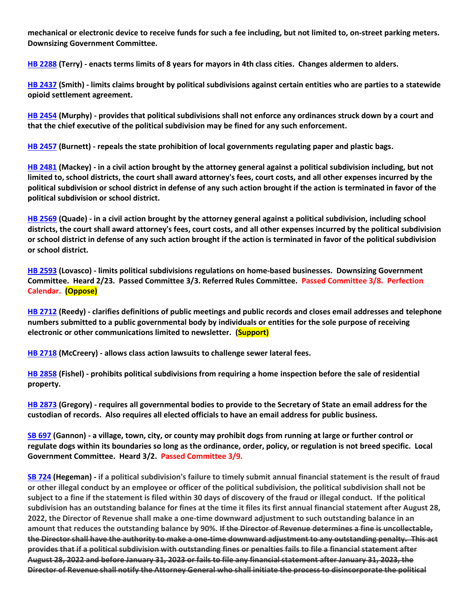**mechanical or electronic device to receive funds for such a fee including, but not limited to, on-street parking meters. Downsizing Government Committee.**

**[HB 2288](https://www.house.mo.gov/Bill.aspx?bill=HB2288&year=2022&code=R) (Terry) - enacts terms limits of 8 years for mayors in 4th class cities. Changes aldermen to alders.**

**[HB 2437](https://house.mo.gov/Bill.aspx?bill=HB2437&year=2022&code=R) (Smith) - limits claims brought by political subdivisions against certain entities who are parties to a statewide opioid settlement agreement.**

**[HB 2454](https://house.mo.gov/Bill.aspx?bill=HB2454&year=2022&code=R) (Murphy) - provides that political subdivisions shall not enforce any ordinances struck down by a court and that the chief executive of the political subdivision may be fined for any such enforcement.**

**[HB 2457](https://house.mo.gov/Bill.aspx?bill=HB2457&year=2022&code=R) (Burnett) - repeals the state prohibition of local governments regulating paper and plastic bags.**

**[HB 2481](https://house.mo.gov/Bill.aspx?bill=HB2481&year=2022&code=R) (Mackey) - in a civil action brought by the attorney general against a political subdivision including, but not limited to, school districts, the court shall award attorney's fees, court costs, and all other expenses incurred by the political subdivision or school district in defense of any such action brought if the action is terminated in favor of the political subdivision or school district.**

**[HB 2569](https://www.house.mo.gov/Bill.aspx?bill=HB2569&year=2022&code=R) (Quade) - in a civil action brought by the attorney general against a political subdivision, including school districts, the court shall award attorney's fees, court costs, and all other expenses incurred by the political subdivision or school district in defense of any such action brought if the action is terminated in favor of the political subdivision or school district.**

**[HB 2593](https://www.house.mo.gov/Bill.aspx?bill=HB2593&year=2022&code=R) (Lovasco) - limits political subdivisions regulations on home-based businesses. Downsizing Government Committee. Heard 2/23. Passed Committee 3/3. Referred Rules Committee. Passed Committee 3/8. Perfection Calendar. (Oppose)**

**[HB 2712](https://www.house.mo.gov/Bill.aspx?bill=HB2712&year=2022&code=R) (Reedy) - clarifies definitions of public meetings and public records and closes email addresses and telephone numbers submitted to a public governmental body by individuals or entities for the sole purpose of receiving electronic or other communications limited to newsletter. (Support)**

**[HB 2718](https://www.house.mo.gov/Bill.aspx?bill=HB2718&year=2022&code=R) (McCreery) - allows class action lawsuits to challenge sewer lateral fees.**

**[HB 2858](https://www.house.mo.gov/Bill.aspx?bill=HB2858&year=2022&code=R) (Fishel) - prohibits political subdivisions from requiring a home inspection before the sale of residential property.**

**[HB 2873](https://www.house.mo.gov/Bill.aspx?bill=HB2873&year=2022&code=R) (Gregory) - requires all governmental bodies to provide to the Secretary of State an email address for the custodian of records. Also requires all elected officials to have an email address for public business.**

**[SB 697](https://www.senate.mo.gov/22info/BTS_Web/Bill.aspx?SessionType=R&BillID=71259741) (Gannon) - a village, town, city, or county may prohibit dogs from running at large or further control or regulate dogs within its boundaries so long as the ordinance, order, policy, or regulation is not breed specific. Local Government Committee. Heard 3/2. Passed Committee 3/9.**

**[SB 724](https://www.senate.mo.gov/22info/BTS_Web/Bill.aspx?SessionType=R&BillID=71259818) (Hegeman) - if a political subdivision's failure to timely submit annual financial statement is the result of fraud or other illegal conduct by an employee or officer of the political subdivision, the political subdivision shall not be subject to a fine if the statement is filed within 30 days of discovery of the fraud or illegal conduct. If the political subdivision has an outstanding balance for fines at the time it files its first annual financial statement after August 28, 2022, the Director of Revenue shall make a one-time downward adjustment to such outstanding balance in an amount that reduces the outstanding balance by 90%. If the Director of Revenue determines a fine is uncollectable, the Director shall have the authority to make a one-time downward adjustment to any outstanding penalty. This act provides that if a political subdivision with outstanding fines or penalties fails to file a financial statement after August 28, 2022 and before January 31, 2023 or fails to file any financial statement after January 31, 2023, the Director of Revenue shall notify the Attorney General who shall initiate the process to disincorporate the political**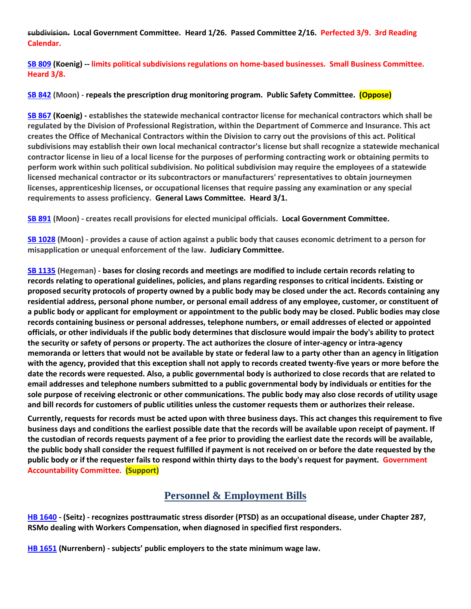**subdivision. Local Government Committee. Heard 1/26. Passed Committee 2/16. Perfected 3/9. 3rd Reading Calendar.**

**[SB 809](https://www.senate.mo.gov/22info/BTS_Web/Bill.aspx?SessionType=R&BillID=71259907) (Koenig) -- limits political subdivisions regulations on home-based businesses. Small Business Committee. Heard 3/8.**

**[SB 842](https://www.senate.mo.gov/22info/BTS_Web/Bill.aspx?SessionType=R&BillID=71259877) (Moon) - repeals the prescription drug monitoring program. Public Safety Committee. (Oppose)**

**[SB 867](https://www.senate.mo.gov/22info/BTS_Web/Bill.aspx?SessionType=R&BillID=71259909) (Koenig) - establishes the statewide mechanical contractor license for mechanical contractors which shall be regulated by the Division of Professional Registration, within the Department of Commerce and Insurance. This act creates the Office of Mechanical Contractors within the Division to carry out the provisions of this act. Political subdivisions may establish their own local mechanical contractor's license but shall recognize a statewide mechanical contractor license in lieu of a local license for the purposes of performing contracting work or obtaining permits to perform work within such political subdivision. No political subdivision may require the employees of a statewide licensed mechanical contractor or its subcontractors or manufacturers' representatives to obtain journeymen licenses, apprenticeship licenses, or occupational licenses that require passing any examination or any special requirements to assess proficiency. General Laws Committee. Heard 3/1.**

**[SB 891](https://www.senate.mo.gov/22info/BTS_Web/Bill.aspx?SessionType=R&BillID=71259885) (Moon) - creates recall provisions for elected municipal officials. Local Government Committee.**

**[SB 1028](https://www.senate.mo.gov/22info/BTS_Web/Bill.aspx?SessionType=R&BillID=72748795) (Moon) - provides a cause of action against a public body that causes economic detriment to a person for misapplication or unequal enforcement of the law. Judiciary Committee.**

**[SB 1135](https://www.senate.mo.gov/22info/BTS_Web/Bill.aspx?SessionType=R&BillID=75554857) (Hegeman) - bases for closing records and meetings are modified to include certain records relating to records relating to operational guidelines, policies, and plans regarding responses to critical incidents. Existing or proposed security protocols of property owned by a public body may be closed under the act. Records containing any residential address, personal phone number, or personal email address of any employee, customer, or constituent of a public body or applicant for employment or appointment to the public body may be closed. Public bodies may close records containing business or personal addresses, telephone numbers, or email addresses of elected or appointed officials, or other individuals if the public body determines that disclosure would impair the body's ability to protect the security or safety of persons or property. The act authorizes the closure of inter-agency or intra-agency memoranda or letters that would not be available by state or federal law to a party other than an agency in litigation with the agency, provided that this exception shall not apply to records created twenty-five years or more before the date the records were requested. Also, a public governmental body is authorized to close records that are related to email addresses and telephone numbers submitted to a public governmental body by individuals or entities for the sole purpose of receiving electronic or other communications. The public body may also close records of utility usage and bill records for customers of public utilities unless the customer requests them or authorizes their release.**

**Currently, requests for records must be acted upon with three business days. This act changes this requirement to five business days and conditions the earliest possible date that the records will be available upon receipt of payment. If the custodian of records requests payment of a fee prior to providing the earliest date the records will be available, the public body shall consider the request fulfilled if payment is not received on or before the date requested by the public body or if the requester fails to respond within thirty days to the body's request for payment. Government Accountability Committee. (Support)**

## **Personnel & Employment Bills**

**[HB 1640](https://house.mo.gov/Bill.aspx?bill=HB1640&year=2022&code=R) - (Seitz) - recognizes posttraumatic stress disorder (PTSD) as an occupational disease, under Chapter 287, RSMo dealing with Workers Compensation, when diagnosed in specified first responders.**

**[HB 1651](https://house.mo.gov/Bill.aspx?bill=HB1651&year=2022&code=R) (Nurrenbern) - subjects' public employers to the state minimum wage law.**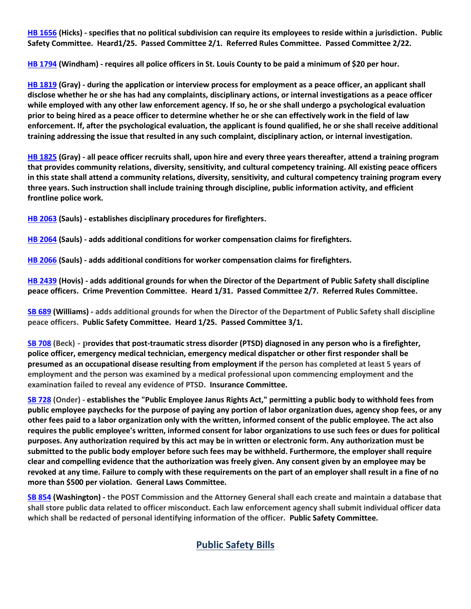**[HB 1656](https://house.mo.gov/Bill.aspx?bill=HB1656&year=2022&code=R) (Hicks) - specifies that no political subdivision can require its employees to reside within a jurisdiction. Public Safety Committee. Heard1/25. Passed Committee 2/1. Referred Rules Committee. Passed Committee 2/22.**

**[HB 1794](https://house.mo.gov/Bill.aspx?bill=HB1794&year=2022&code=R) (Windham) - requires all police officers in St. Louis County to be paid a minimum of \$20 per hour.**

**[HB 1819](https://house.mo.gov/Bill.aspx?bill=HB1819&year=2022&code=R) (Gray) - during the application or interview process for employment as a peace officer, an applicant shall disclose whether he or she has had any complaints, disciplinary actions, or internal investigations as a peace officer while employed with any other law enforcement agency. If so, he or she shall undergo a psychological evaluation prior to being hired as a peace officer to determine whether he or she can effectively work in the field of law enforcement. If, after the psychological evaluation, the applicant is found qualified, he or she shall receive additional training addressing the issue that resulted in any such complaint, disciplinary action, or internal investigation.**

**[HB 1825](https://house.mo.gov/Bill.aspx?bill=HB1825&year=2022&code=R) (Gray) - all peace officer recruits shall, upon hire and every three years thereafter, attend a training program that provides community relations, diversity, sensitivity, and cultural competency training. All existing peace officers in this state shall attend a community relations, diversity, sensitivity, and cultural competency training program every three years. Such instruction shall include training through discipline, public information activity, and efficient frontline police work.**

**[HB 2063](https://house.mo.gov/Bill.aspx?bill=HB2063&year=2022&code=R) (Sauls) - establishes disciplinary procedures for firefighters.**

**[HB 2064](https://house.mo.gov/Bill.aspx?bill=HB2064&year=2022&code=R) (Sauls) - adds additional conditions for worker compensation claims for firefighters.** 

**[HB 2066](https://house.mo.gov/Bill.aspx?bill=HB2066&year=2022&code=R) (Sauls) - adds additional conditions for worker compensation claims for firefighters.**

**[HB 2439](https://house.mo.gov/Bill.aspx?bill=HB2439&year=2022&code=R) (Hovis) - adds additional grounds for when the Director of the Department of Public Safety shall discipline peace officers. Crime Prevention Committee. Heard 1/31. Passed Committee 2/7. Referred Rules Committee.**

**[SB 689](https://www.senate.mo.gov/22info/BTS_Web/Bill.aspx?SessionType=R&BillID=71259715) (Williams) - adds additional grounds for when the Director of the Department of Public Safety shall discipline peace officers. Public Safety Committee. Heard 1/25. Passed Committee 3/1.**

**[SB 708](https://www.senate.mo.gov/22info/BTS_Web/Bill.aspx?SessionType=R&BillID=71259735) (Beck) - provides that post-traumatic stress disorder (PTSD) diagnosed in any person who is a firefighter, police officer, emergency medical technician, emergency medical dispatcher or other first responder shall be presumed as an occupational disease resulting from employment if the person has completed at least 5 years of employment and the person was examined by a medical professional upon commencing employment and the examination failed to reveal any evidence of PTSD. Insurance Committee.**

**[SB 728](https://www.senate.mo.gov/22info/BTS_Web/Bill.aspx?SessionType=R&BillID=71259712) (Onder) - establishes the "Public Employee Janus Rights Act," permitting a public body to withhold fees from public employee paychecks for the purpose of paying any portion of labor organization dues, agency shop fees, or any other fees paid to a labor organization only with the written, informed consent of the public employee. The act also requires the public employee's written, informed consent for labor organizations to use such fees or dues for political purposes. Any authorization required by this act may be in written or electronic form. Any authorization must be submitted to the public body employer before such fees may be withheld. Furthermore, the employer shall require clear and compelling evidence that the authorization was freely given. Any consent given by an employee may be revoked at any time. Failure to comply with these requirements on the part of an employer shall result in a fine of no more than \$500 per violation. General Laws Committee.**

**[SB 854](https://www.senate.mo.gov/22info/BTS_Web/Bill.aspx?SessionType=R&BillID=71259653) (Washington) - the POST Commission and the Attorney General shall each create and maintain a database that shall store public data related to officer misconduct. Each law enforcement agency shall submit individual officer data which shall be redacted of personal identifying information of the officer. Public Safety Committee.**

# **Public Safety Bills**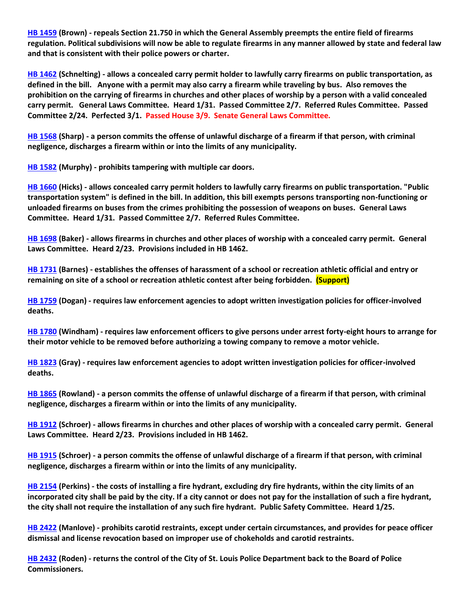**[HB 1459](https://house.mo.gov/Bill.aspx?bill=HB1459&year=2022&code=R) (Brown) - repeals Section 21.750 in which the General Assembly preempts the entire field of firearms regulation. Political subdivisions will now be able to regulate firearms in any manner allowed by state and federal law and that is consistent with their police powers or charter.**

**[HB 1462](https://house.mo.gov/Bill.aspx?bill=HB1462&year=2022&code=R) (Schnelting) - allows a concealed carry permit holder to lawfully carry firearms on public transportation, as defined in the bill. Anyone with a permit may also carry a firearm while traveling by bus. Also removes the prohibition on the carrying of firearms in churches and other places of worship by a person with a valid concealed carry permit. General Laws Committee. Heard 1/31. Passed Committee 2/7. Referred Rules Committee. Passed Committee 2/24. Perfected 3/1. Passed House 3/9. Senate General Laws Committee.**

**[HB 1568](https://house.mo.gov/Bill.aspx?bill=HB1568&year=2022&code=R) (Sharp) - a person commits the offense of unlawful discharge of a firearm if that person, with criminal negligence, discharges a firearm within or into the limits of any municipality.**

**[HB 1582](https://house.mo.gov/Bill.aspx?bill=HB1582&year=2022&code=R) (Murphy) - prohibits tampering with multiple car doors.**

**[HB 1660](https://house.mo.gov/Bill.aspx?bill=HB1660&year=2022&code=R) (Hicks) - allows concealed carry permit holders to lawfully carry firearms on public transportation. "Public transportation system" is defined in the bill. In addition, this bill exempts persons transporting non-functioning or unloaded firearms on buses from the crimes prohibiting the possession of weapons on buses. General Laws Committee. Heard 1/31. Passed Committee 2/7. Referred Rules Committee.**

**[HB 1698](https://house.mo.gov/Bill.aspx?bill=HB1698&year=2022&code=R) (Baker) - allows firearms in churches and other places of worship with a concealed carry permit. General Laws Committee. Heard 2/23. Provisions included in HB 1462.**

**[HB 1731](https://house.mo.gov/Bill.aspx?bill=HB1731&year=2022&code=R) (Barnes) - establishes the offenses of harassment of a school or recreation athletic official and entry or remaining on site of a school or recreation athletic contest after being forbidden. (Support)**

**[HB 1759](https://house.mo.gov/Bill.aspx?bill=HB1759&year=2022&code=R) (Dogan) - requires law enforcement agencies to adopt written investigation policies for officer-involved deaths.**

**[HB 1780](https://house.mo.gov/Bill.aspx?bill=HB1780&year=2022&code=R) (Windham) - requires law enforcement officers to give persons under arrest forty-eight hours to arrange for their motor vehicle to be removed before authorizing a towing company to remove a motor vehicle.**

**[HB 1823](https://house.mo.gov/Bill.aspx?bill=HB1823&year=2022&code=R) (Gray) - requires law enforcement agencies to adopt written investigation policies for officer-involved deaths.**

**[HB 1865](https://house.mo.gov/Bill.aspx?bill=HB1865&year=2022&code=R) (Rowland) - a person commits the offense of unlawful discharge of a firearm if that person, with criminal negligence, discharges a firearm within or into the limits of any municipality.**

**[HB 1912](https://house.mo.gov/Bill.aspx?bill=HB1912&year=2022&code=R) (Schroer) - allows firearms in churches and other places of worship with a concealed carry permit. General Laws Committee. Heard 2/23. Provisions included in HB 1462.**

**[HB 1915](https://house.mo.gov/Bill.aspx?bill=HB1915&year=2022&code=R) (Schroer) - a person commits the offense of unlawful discharge of a firearm if that person, with criminal negligence, discharges a firearm within or into the limits of any municipality.**

**[HB 2154](https://house.mo.gov/Bill.aspx?bill=HB2154&year=2022&code=R) (Perkins) - the costs of installing a fire hydrant, excluding dry fire hydrants, within the city limits of an incorporated city shall be paid by the city. If a city cannot or does not pay for the installation of such a fire hydrant, the city shall not require the installation of any such fire hydrant. Public Safety Committee. Heard 1/25.**

**[HB 2422](https://house.mo.gov/Bill.aspx?bill=HB2422&year=2022&code=R) (Manlove) - prohibits carotid restraints, except under certain circumstances, and provides for peace officer dismissal and license revocation based on improper use of chokeholds and carotid restraints.**

**[HB 2432](https://house.mo.gov/Bill.aspx?bill=HB2432&year=2022&code=R) (Roden) - returns the control of the City of St. Louis Police Department back to the Board of Police Commissioners.**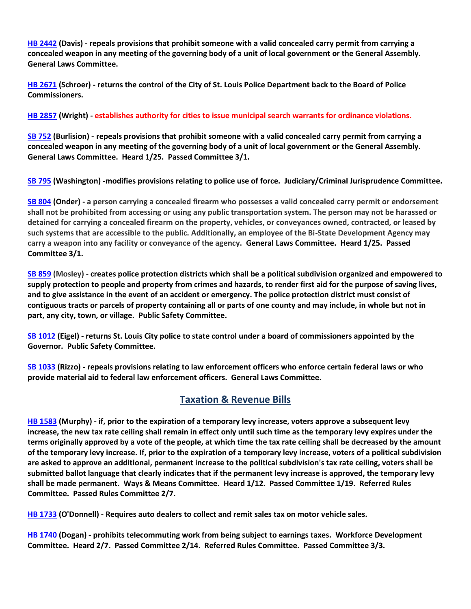**[HB 2442](https://www.house.mo.gov/Bill.aspx?bill=HB2442&year=2022&code=R) (Davis) - repeals provisions that prohibit someone with a valid concealed carry permit from carrying a concealed weapon in any meeting of the governing body of a unit of local government or the General Assembly. General Laws Committee.** 

**[HB 2671](https://www.house.mo.gov/Bill.aspx?bill=HB2671&year=2022&code=R) (Schroer) - returns the control of the City of St. Louis Police Department back to the Board of Police Commissioners.**

**[HB 2857](https://www.house.mo.gov/Bill.aspx?bill=HB2857&year=2022&code=R) (Wright) - establishes authority for cities to issue municipal search warrants for ordinance violations.**

**[SB 752](https://www.senate.mo.gov/22info/BTS_Web/Bill.aspx?SessionType=R&BillID=71259697) (Burlision) - repeals provisions that prohibit someone with a valid concealed carry permit from carrying a concealed weapon in any meeting of the governing body of a unit of local government or the General Assembly. General Laws Committee. Heard 1/25. Passed Committee 3/1.**

**[SB 795](https://www.senate.mo.gov/22info/BTS_Web/Bill.aspx?SessionType=R&BillID=71259650) (Washington) -modifies provisions relating to police use of force. Judiciary/Criminal Jurisprudence Committee.**

**[SB 804](https://www.senate.mo.gov/22info/BTS_Web/Bill.aspx?SessionType=R&BillID=71263286) (Onder) - a person carrying a concealed firearm who possesses a valid concealed carry permit or endorsement shall not be prohibited from accessing or using any public transportation system. The person may not be harassed or detained for carrying a concealed firearm on the property, vehicles, or conveyances owned, contracted, or leased by such systems that are accessible to the public. Additionally, an employee of the Bi-State Development Agency may carry a weapon into any facility or conveyance of the agency. General Laws Committee. Heard 1/25. Passed Committee 3/1.**

**[SB 859](https://www.senate.mo.gov/22info/BTS_Web/Bill.aspx?SessionType=R&BillID=71259622) (Mosley) - creates police protection districts which shall be a political subdivision organized and empowered to supply protection to people and property from crimes and hazards, to render first aid for the purpose of saving lives, and to give assistance in the event of an accident or emergency. The police protection district must consist of contiguous tracts or parcels of property containing all or parts of one county and may include, in whole but not in part, any city, town, or village. Public Safety Committee.**

**[SB 1012](https://www.senate.mo.gov/22info/BTS_Web/Bill.aspx?SessionType=R&BillID=72392417) (Eigel) - returns St. Louis City police to state control under a board of commissioners appointed by the Governor. Public Safety Committee.**

**[SB 1033](https://www.senate.mo.gov/22info/BTS_Web/Bill.aspx?SessionType=R&BillID=72748800) (Rizzo) - repeals provisions relating to law enforcement officers who enforce certain federal laws or who provide material aid to federal law enforcement officers. General Laws Committee.**

## **Taxation & Revenue Bills**

**[HB 1583](https://house.mo.gov/Bill.aspx?bill=HB1583&year=2022&code=R) (Murphy) - if, prior to the expiration of a temporary levy increase, voters approve a subsequent levy increase, the new tax rate ceiling shall remain in effect only until such time as the temporary levy expires under the terms originally approved by a vote of the people, at which time the tax rate ceiling shall be decreased by the amount of the temporary levy increase. If, prior to the expiration of a temporary levy increase, voters of a political subdivision are asked to approve an additional, permanent increase to the political subdivision's tax rate ceiling, voters shall be submitted ballot language that clearly indicates that if the permanent levy increase is approved, the temporary levy shall be made permanent. Ways & Means Committee. Heard 1/12. Passed Committee 1/19. Referred Rules Committee. Passed Rules Committee 2/7.**

**[HB 1733](https://house.mo.gov/Bill.aspx?bill=HB1733&year=2022&code=R) (O'Donnell) - Requires auto dealers to collect and remit sales tax on motor vehicle sales.**

**[HB 1740](https://house.mo.gov/Bill.aspx?bill=HB1740&year=2022&code=R) (Dogan) - prohibits telecommuting work from being subject to earnings taxes. Workforce Development Committee. Heard 2/7. Passed Committee 2/14. Referred Rules Committee. Passed Committee 3/3.**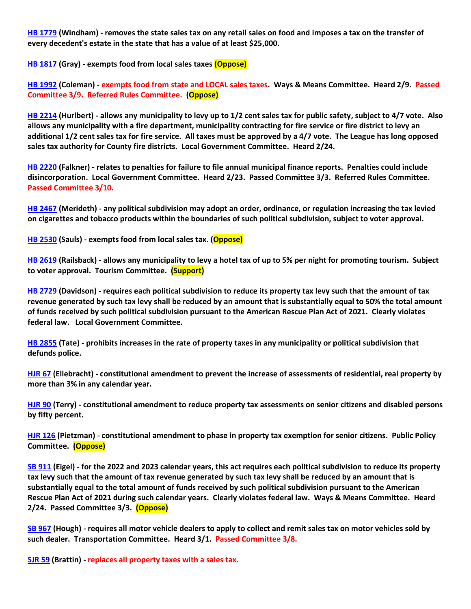**[HB 1779](https://house.mo.gov/Bill.aspx?bill=HB1779&year=2022&code=R) (Windham) - removes the state sales tax on any retail sales on food and imposes a tax on the transfer of every decedent's estate in the state that has a value of at least \$25,000.**

**[HB 1817](https://house.mo.gov/Bill.aspx?bill=HB1817&year=2022&code=R) (Gray) - exempts food from local sales taxes (Oppose)**

**[HB 1992](https://house.mo.gov/Bill.aspx?bill=HB1992&year=2022&code=R) (Coleman) - exempts food from state and LOCAL sales taxes. Ways & Means Committee. Heard 2/9. Passed Committee 3/9. Referred Rules Committee. (Oppose)**

**[HB 2214](https://house.mo.gov/Bill.aspx?bill=HB2214&year=2022&code=R) (Hurlbert) - allows any municipality to levy up to 1/2 cent sales tax for public safety, subject to 4/7 vote. Also allows any municipality with a fire department, municipality contracting for fire service or fire district to levy an additional 1/2 cent sales tax for fire service. All taxes must be approved by a 4/7 vote. The League has long opposed sales tax authority for County fire districts. Local Government Committee. Heard 2/24.**

**[HB 2220](https://house.mo.gov/Bill.aspx?bill=HB2220&year=2022&code=R) (Falkner) - relates to penalties for failure to file annual municipal finance reports. Penalties could include disincorporation. Local Government Committee. Heard 2/23. Passed Committee 3/3. Referred Rules Committee. Passed Committee 3/10.**

**[HB 2467](https://house.mo.gov/Bill.aspx?bill=HB2467&year=2022&code=R) (Merideth) - any political subdivision may adopt an order, ordinance, or regulation increasing the tax levied on cigarettes and tobacco products within the boundaries of such political subdivision, subject to voter approval.**

**[HB 2530](https://www.house.mo.gov/Bill.aspx?bill=HB2530&year=2022&code=R) (Sauls) - exempts food from local sales tax. (Oppose)**

**[HB 2619](https://www.house.mo.gov/Bill.aspx?bill=HB2619&year=2022&code=R) (Railsback) - allows any municipality to levy a hotel tax of up to 5% per night for promoting tourism. Subject to voter approval. Tourism Committee. (Support)**

**[HB 2729](https://www.house.mo.gov/Bill.aspx?bill=HB2729&year=2022&code=R) (Davidson) - requires each political subdivision to reduce its property tax levy such that the amount of tax revenue generated by such tax levy shall be reduced by an amount that is substantially equal to 50% the total amount of funds received by such political subdivision pursuant to the American Rescue Plan Act of 2021. Clearly violates federal law. Local Government Committee.**

**[HB 2855](https://www.house.mo.gov/Bill.aspx?bill=HB2855&year=2022&code=R) (Tate) - prohibits increases in the rate of property taxes in any municipality or political subdivision that defunds police.**

**[HJR 67](https://house.mo.gov/Bill.aspx?bill=HJR67&year=2022&code=R) (Ellebracht) - constitutional amendment to prevent the increase of assessments of residential, real property by more than 3% in any calendar year.**

**[HJR 90](https://house.mo.gov/Bill.aspx?bill=HJR90&year=2022&code=R) (Terry) - constitutional amendment to reduce property tax assessments on senior citizens and disabled persons by fifty percent.**

**[HJR 126](https://www.house.mo.gov/Bill.aspx?bill=HJR126&year=2022&code=R) (Pietzman) - constitutional amendment to phase in property tax exemption for senior citizens. Public Policy Committee. (Oppose)**

**[SB 911](https://www.senate.mo.gov/22info/BTS_Web/Bill.aspx?SessionType=R&BillID=71259794) (Eigel) - for the 2022 and 2023 calendar years, this act requires each political subdivision to reduce its property tax levy such that the amount of tax revenue generated by such tax levy shall be reduced by an amount that is substantially equal to the total amount of funds received by such political subdivision pursuant to the American Rescue Plan Act of 2021 during such calendar years. Clearly violates federal law. Ways & Means Committee. Heard 2/24. Passed Committee 3/3. (Oppose)**

**[SB 967](https://www.senate.mo.gov/22info/BTS_Web/Bill.aspx?SessionType=R&BillID=71406282) (Hough) - requires all motor vehicle dealers to apply to collect and remit sales tax on motor vehicles sold by such dealer. Transportation Committee. Heard 3/1. Passed Committee 3/8.**

**[SJR 59](https://www.senate.mo.gov/22info/BTS_Web/Bill.aspx?SessionType=R&BillID=77307107) (Brattin) - replaces all property taxes with a sales tax.**